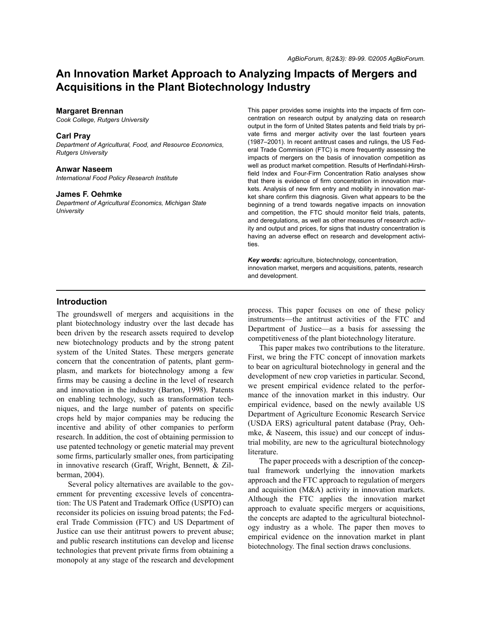# **An Innovation Market Approach to Analyzing Impacts of Mergers and Acquisitions in the Plant Biotechnology Industry**

### **Margaret Brennan**

*Cook College, Rutgers University*

### **Carl Pray**

*Department of Agricultural, Food, and Resource Economics, Rutgers University*

### **Anwar Naseem**

*International Food Policy Research Institute*

## **James F. Oehmke**

*Department of Agricultural Economics, Michigan State University*

This paper provides some insights into the impacts of firm concentration on research output by analyzing data on research output in the form of United States patents and field trials by private firms and merger activity over the last fourteen years (1987–2001). In recent antitrust cases and rulings, the US Federal Trade Commission (FTC) is more frequently assessing the impacts of mergers on the basis of innovation competition as well as product market competition. Results of Herfindahl-Hirshfield Index and Four-Firm Concentration Ratio analyses show that there is evidence of firm concentration in innovation markets. Analysis of new firm entry and mobility in innovation market share confirm this diagnosis. Given what appears to be the beginning of a trend towards negative impacts on innovation and competition, the FTC should monitor field trials, patents, and deregulations, as well as other measures of research activity and output and prices, for signs that industry concentration is having an adverse effect on research and development activities.

*Key words:* agriculture, biotechnology, concentration, innovation market, mergers and acquisitions, patents, research and development.

## **Introduction**

The groundswell of mergers and acquisitions in the plant biotechnology industry over the last decade has been driven by the research assets required to develop new biotechnology products and by the strong patent system of the United States. These mergers generate concern that the concentration of patents, plant germplasm, and markets for biotechnology among a few firms may be causing a decline in the level of research and innovation in the industry (Barton, 1998). Patents on enabling technology, such as transformation techniques, and the large number of patents on specific crops held by major companies may be reducing the incentive and ability of other companies to perform research. In addition, the cost of obtaining permission to use patented technology or genetic material may prevent some firms, particularly smaller ones, from participating in innovative research (Graff, Wright, Bennett, & Zilberman, 2004).

Several policy alternatives are available to the government for preventing excessive levels of concentration: The US Patent and Trademark Office (USPTO) can reconsider its policies on issuing broad patents; the Federal Trade Commission (FTC) and US Department of Justice can use their antitrust powers to prevent abuse; and public research institutions can develop and license technologies that prevent private firms from obtaining a monopoly at any stage of the research and development

process. This paper focuses on one of these policy instruments—the antitrust activities of the FTC and Department of Justice—as a basis for assessing the competitiveness of the plant biotechnology literature.

This paper makes two contributions to the literature. First, we bring the FTC concept of innovation markets to bear on agricultural biotechnology in general and the development of new crop varieties in particular. Second, we present empirical evidence related to the performance of the innovation market in this industry. Our empirical evidence, based on the newly available US Department of Agriculture Economic Research Service (USDA ERS) agricultural patent database (Pray, Oehmke, & Naseem, this issue) and our concept of industrial mobility, are new to the agricultural biotechnology literature.

The paper proceeds with a description of the conceptual framework underlying the innovation markets approach and the FTC approach to regulation of mergers and acquisition (M&A) activity in innovation markets. Although the FTC applies the innovation market approach to evaluate specific mergers or acquisitions, the concepts are adapted to the agricultural biotechnology industry as a whole. The paper then moves to empirical evidence on the innovation market in plant biotechnology. The final section draws conclusions.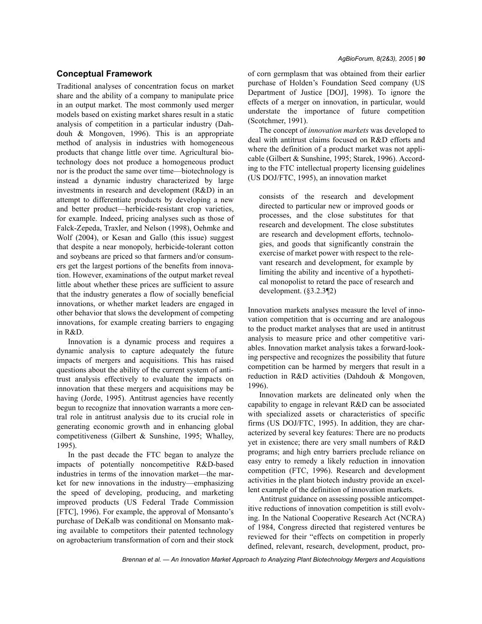# **Conceptual Framework**

Traditional analyses of concentration focus on market share and the ability of a company to manipulate price in an output market. The most commonly used merger models based on existing market shares result in a static analysis of competition in a particular industry (Dahdouh & Mongoven, 1996). This is an appropriate method of analysis in industries with homogeneous products that change little over time. Agricultural biotechnology does not produce a homogeneous product nor is the product the same over time—biotechnology is instead a dynamic industry characterized by large investments in research and development (R&D) in an attempt to differentiate products by developing a new and better product—herbicide-resistant crop varieties, for example. Indeed, pricing analyses such as those of Falck-Zepeda, Traxler, and Nelson (1998), Oehmke and Wolf (2004), or Kesan and Gallo (this issue) suggest that despite a near monopoly, herbicide-tolerant cotton and soybeans are priced so that farmers and/or consumers get the largest portions of the benefits from innovation. However, examinations of the output market reveal little about whether these prices are sufficient to assure that the industry generates a flow of socially beneficial innovations, or whether market leaders are engaged in other behavior that slows the development of competing innovations, for example creating barriers to engaging in R&D.

Innovation is a dynamic process and requires a dynamic analysis to capture adequately the future impacts of mergers and acquisitions. This has raised questions about the ability of the current system of antitrust analysis effectively to evaluate the impacts on innovation that these mergers and acquisitions may be having (Jorde, 1995). Antitrust agencies have recently begun to recognize that innovation warrants a more central role in antitrust analysis due to its crucial role in generating economic growth and in enhancing global competitiveness (Gilbert & Sunshine, 1995; Whalley, 1995).

In the past decade the FTC began to analyze the impacts of potentially noncompetitive R&D-based industries in terms of the innovation market—the market for new innovations in the industry—emphasizing the speed of developing, producing, and marketing improved products (US Federal Trade Commission [FTC], 1996). For example, the approval of Monsanto's purchase of DeKalb was conditional on Monsanto making available to competitors their patented technology on agrobacterium transformation of corn and their stock of corn germplasm that was obtained from their earlier purchase of Holden's Foundation Seed company (US Department of Justice [DOJ], 1998). To ignore the effects of a merger on innovation, in particular, would understate the importance of future competition (Scotchmer, 1991).

The concept of *innovation markets* was developed to deal with antitrust claims focused on R&D efforts and where the definition of a product market was not applicable (Gilbert & Sunshine, 1995; Starek, 1996). According to the FTC intellectual property licensing guidelines (US DOJ/FTC, 1995), an innovation market

consists of the research and development directed to particular new or improved goods or processes, and the close substitutes for that research and development. The close substitutes are research and development efforts, technologies, and goods that significantly constrain the exercise of market power with respect to the relevant research and development, for example by limiting the ability and incentive of a hypothetical monopolist to retard the pace of research and development. (§3.2.3¶2)

Innovation markets analyses measure the level of innovation competition that is occurring and are analogous to the product market analyses that are used in antitrust analysis to measure price and other competitive variables. Innovation market analysis takes a forward-looking perspective and recognizes the possibility that future competition can be harmed by mergers that result in a reduction in R&D activities (Dahdouh & Mongoven, 1996).

Innovation markets are delineated only when the capability to engage in relevant R&D can be associated with specialized assets or characteristics of specific firms (US DOJ/FTC, 1995). In addition, they are characterized by several key features: There are no products yet in existence; there are very small numbers of R&D programs; and high entry barriers preclude reliance on easy entry to remedy a likely reduction in innovation competition (FTC, 1996). Research and development activities in the plant biotech industry provide an excellent example of the definition of innovation markets.

Antitrust guidance on assessing possible anticompetitive reductions of innovation competition is still evolving. In the National Cooperative Research Act (NCRA) of 1984, Congress directed that registered ventures be reviewed for their "effects on competition in properly defined, relevant, research, development, product, pro-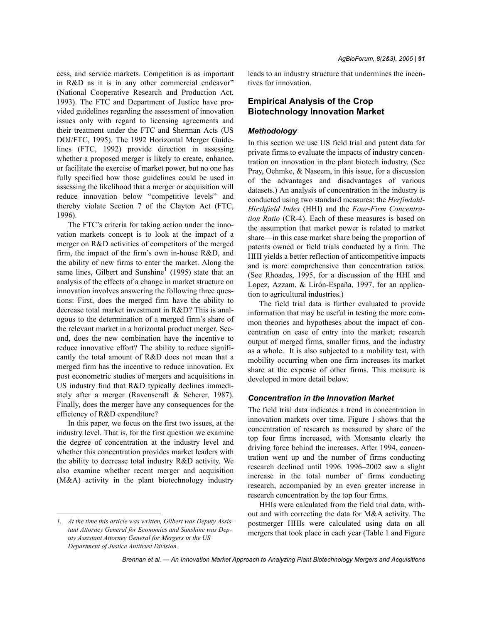cess, and service markets. Competition is as important in R&D as it is in any other commercial endeavor" (National Cooperative Research and Production Act, 1993). The FTC and Department of Justice have provided guidelines regarding the assessment of innovation issues only with regard to licensing agreements and their treatment under the FTC and Sherman Acts (US DOJ/FTC, 1995). The 1992 Horizontal Merger Guidelines (FTC, 1992) provide direction in assessing whether a proposed merger is likely to create, enhance, or facilitate the exercise of market power, but no one has fully specified how those guidelines could be used in assessing the likelihood that a merger or acquisition will reduce innovation below "competitive levels" and thereby violate Section 7 of the Clayton Act (FTC, 1996).

The FTC's criteria for taking action under the innovation markets concept is to look at the impact of a merger on R&D activities of competitors of the merged firm, the impact of the firm's own in-house R&D, and the ability of new firms to enter the market. Along the same lines, Gilbert and Sunshine<sup>1</sup> (1995) state that an analysis of the effects of a change in market structure on innovation involves answering the following three questions: First, does the merged firm have the ability to decrease total market investment in R&D? This is analogous to the determination of a merged firm's share of the relevant market in a horizontal product merger. Second, does the new combination have the incentive to reduce innovative effort? The ability to reduce significantly the total amount of R&D does not mean that a merged firm has the incentive to reduce innovation. Ex post econometric studies of mergers and acquisitions in US industry find that R&D typically declines immediately after a merger (Ravenscraft & Scherer, 1987). Finally, does the merger have any consequences for the efficiency of R&D expenditure?

In this paper, we focus on the first two issues, at the industry level. That is, for the first question we examine the degree of concentration at the industry level and whether this concentration provides market leaders with the ability to decrease total industry R&D activity. We also examine whether recent merger and acquisition (M&A) activity in the plant biotechnology industry leads to an industry structure that undermines the incentives for innovation.

# **Empirical Analysis of the Crop Biotechnology Innovation Market**

## *Methodology*

In this section we use US field trial and patent data for private firms to evaluate the impacts of industry concentration on innovation in the plant biotech industry. (See Pray, Oehmke, & Naseem, in this issue, for a discussion of the advantages and disadvantages of various datasets.) An analysis of concentration in the industry is conducted using two standard measures: the *Herfindahl-Hirshfield Index* (HHI) and the *Four-Firm Concentration Ratio* (CR-4). Each of these measures is based on the assumption that market power is related to market share—in this case market share being the proportion of patents owned or field trials conducted by a firm. The HHI yields a better reflection of anticompetitive impacts and is more comprehensive than concentration ratios. (See Rhoades, 1995, for a discussion of the HHI and Lopez, Azzam, & Lirón-España, 1997, for an application to agricultural industries.)

The field trial data is further evaluated to provide information that may be useful in testing the more common theories and hypotheses about the impact of concentration on ease of entry into the market; research output of merged firms, smaller firms, and the industry as a whole. It is also subjected to a mobility test, with mobility occurring when one firm increases its market share at the expense of other firms. This measure is developed in more detail below.

# *Concentration in the Innovation Market*

The field trial data indicates a trend in concentration in innovation markets over time. Figure 1 shows that the concentration of research as measured by share of the top four firms increased, with Monsanto clearly the driving force behind the increases. After 1994, concentration went up and the number of firms conducting research declined until 1996. 1996–2002 saw a slight increase in the total number of firms conducting research, accompanied by an even greater increase in research concentration by the top four firms.

HHIs were calculated from the field trial data, without and with correcting the data for M&A activity. The postmerger HHIs were calculated using data on all mergers that took place in each year (Table 1 and Figure

*<sup>1.</sup> At the time this article was written, Gilbert was Deputy Assistant Attorney General for Economics and Sunshine was Deputy Assistant Attorney General for Mergers in the US Department of Justice Antitrust Division.*

*Brennan et al. — An Innovation Market Approach to Analyzing Plant Biotechnology Mergers and Acquisitions*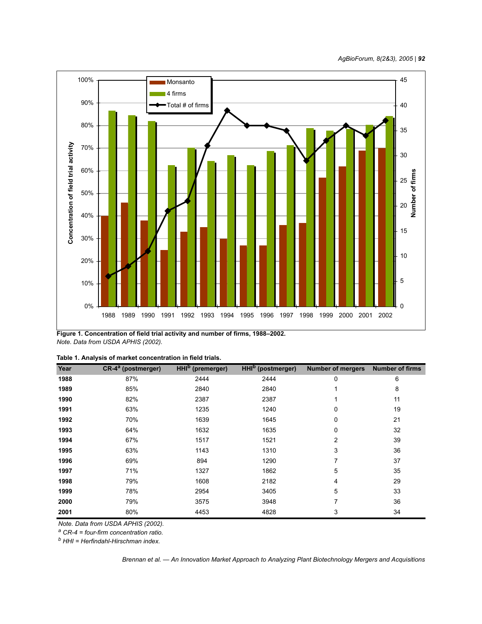

**Figure 1. Concentration of field trial activity and number of firms, 1988–2002.** *Note. Data from USDA APHIS (2002).*

| Table 1. Analysis of market concentration in field trials. |  |
|------------------------------------------------------------|--|
|------------------------------------------------------------|--|

| Year | CR-4 <sup>a</sup> (postmerger) | <b>HHI<sup>b</sup></b> (premerger) | HHI <sup>b</sup> (postmerger) | <b>Number of mergers</b> | <b>Number of firms</b> |
|------|--------------------------------|------------------------------------|-------------------------------|--------------------------|------------------------|
| 1988 | 87%                            | 2444                               | 2444                          | 0                        | 6                      |
| 1989 | 85%                            | 2840                               | 2840                          |                          | 8                      |
| 1990 | 82%                            | 2387                               | 2387                          |                          | 11                     |
| 1991 | 63%                            | 1235                               | 1240                          | 0                        | 19                     |
| 1992 | 70%                            | 1639                               | 1645                          | 0                        | 21                     |
| 1993 | 64%                            | 1632                               | 1635                          | 0                        | 32                     |
| 1994 | 67%                            | 1517                               | 1521                          | 2                        | 39                     |
| 1995 | 63%                            | 1143                               | 1310                          | 3                        | 36                     |
| 1996 | 69%                            | 894                                | 1290                          | 7                        | 37                     |
| 1997 | 71%                            | 1327                               | 1862                          | 5                        | 35                     |
| 1998 | 79%                            | 1608                               | 2182                          | 4                        | 29                     |
| 1999 | 78%                            | 2954                               | 3405                          | 5                        | 33                     |
| 2000 | 79%                            | 3575                               | 3948                          | 7                        | 36                     |
| 2001 | 80%                            | 4453                               | 4828                          | 3                        | 34                     |

*Note. Data from USDA APHIS (2002).*

*a CR-4 = four-firm concentration ratio.*

*b HHI = Herfindahl-Hirschman index.*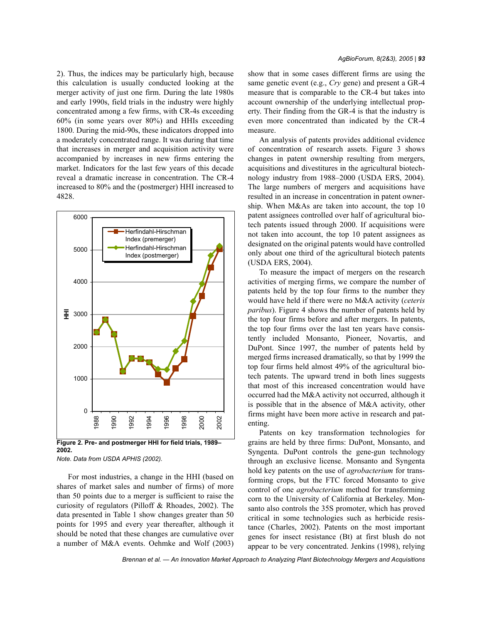2). Thus, the indices may be particularly high, because this calculation is usually conducted looking at the merger activity of just one firm. During the late 1980s and early 1990s, field trials in the industry were highly concentrated among a few firms, with CR-4s exceeding 60% (in some years over 80%) and HHIs exceeding 1800. During the mid-90s, these indicators dropped into a moderately concentrated range. It was during that time that increases in merger and acquisition activity were accompanied by increases in new firms entering the market. Indicators for the last few years of this decade reveal a dramatic increase in concentration. The CR-4 increased to 80% and the (postmerger) HHI increased to 4828.



*Note. Data from USDA APHIS (2002).*

For most industries, a change in the HHI (based on shares of market sales and number of firms) of more than 50 points due to a merger is sufficient to raise the curiosity of regulators (Pilloff & Rhoades, 2002). The data presented in Table 1 show changes greater than 50 points for 1995 and every year thereafter, although it should be noted that these changes are cumulative over a number of M&A events. Oehmke and Wolf (2003) show that in some cases different firms are using the same genetic event (e.g., *Cry* gene) and present a GR-4 measure that is comparable to the CR-4 but takes into account ownership of the underlying intellectual property. Their finding from the GR-4 is that the industry is even more concentrated than indicated by the CR-4 measure.

An analysis of patents provides additional evidence of concentration of research assets. Figure 3 shows changes in patent ownership resulting from mergers, acquisitions and divestitures in the agricultural biotechnology industry from 1988–2000 (USDA ERS, 2004). The large numbers of mergers and acquisitions have resulted in an increase in concentration in patent ownership. When M&As are taken into account, the top 10 patent assignees controlled over half of agricultural biotech patents issued through 2000. If acquisitions were not taken into account, the top 10 patent assignees as designated on the original patents would have controlled only about one third of the agricultural biotech patents (USDA ERS, 2004).

To measure the impact of mergers on the research activities of merging firms, we compare the number of patents held by the top four firms to the number they would have held if there were no M&A activity (*ceteris paribus*). Figure 4 shows the number of patents held by the top four firms before and after mergers. In patents, the top four firms over the last ten years have consistently included Monsanto, Pioneer, Novartis, and DuPont. Since 1997, the number of patents held by merged firms increased dramatically, so that by 1999 the top four firms held almost 49% of the agricultural biotech patents. The upward trend in both lines suggests that most of this increased concentration would have occurred had the M&A activity not occurred, although it is possible that in the absence of M&A activity, other firms might have been more active in research and patenting.

Patents on key transformation technologies for grains are held by three firms: DuPont, Monsanto, and Syngenta. DuPont controls the gene-gun technology through an exclusive license. Monsanto and Syngenta hold key patents on the use of *agrobacterium* for transforming crops, but the FTC forced Monsanto to give control of one *agrobacterium* method for transforming corn to the University of California at Berkeley. Monsanto also controls the 35S promoter, which has proved critical in some technologies such as herbicide resistance (Charles, 2002). Patents on the most important genes for insect resistance (Bt) at first blush do not appear to be very concentrated. Jenkins (1998), relying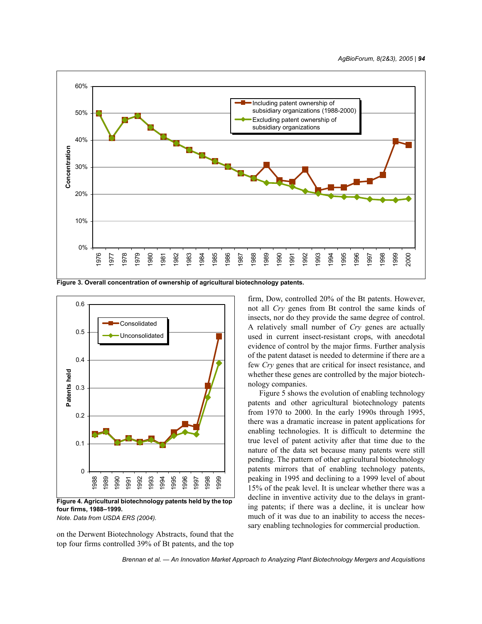

**Figure 3. Overall concentration of ownership of agricultural biotechnology patents.**



**four firms, 1988–1999.** *Note. Data from USDA ERS (2004).*

on the Derwent Biotechnology Abstracts, found that the top four firms controlled 39% of Bt patents, and the top firm, Dow, controlled 20% of the Bt patents. However, not all *Cry* genes from Bt control the same kinds of insects, nor do they provide the same degree of control. A relatively small number of *Cry* genes are actually used in current insect-resistant crops, with anecdotal evidence of control by the major firms. Further analysis of the patent dataset is needed to determine if there are a few *Cry* genes that are critical for insect resistance, and whether these genes are controlled by the major biotechnology companies.

Figure 5 shows the evolution of enabling technology patents and other agricultural biotechnology patents from 1970 to 2000. In the early 1990s through 1995, there was a dramatic increase in patent applications for enabling technologies. It is difficult to determine the true level of patent activity after that time due to the nature of the data set because many patents were still pending. The pattern of other agricultural biotechnology patents mirrors that of enabling technology patents, peaking in 1995 and declining to a 1999 level of about 15% of the peak level. It is unclear whether there was a decline in inventive activity due to the delays in granting patents; if there was a decline, it is unclear how much of it was due to an inability to access the necessary enabling technologies for commercial production.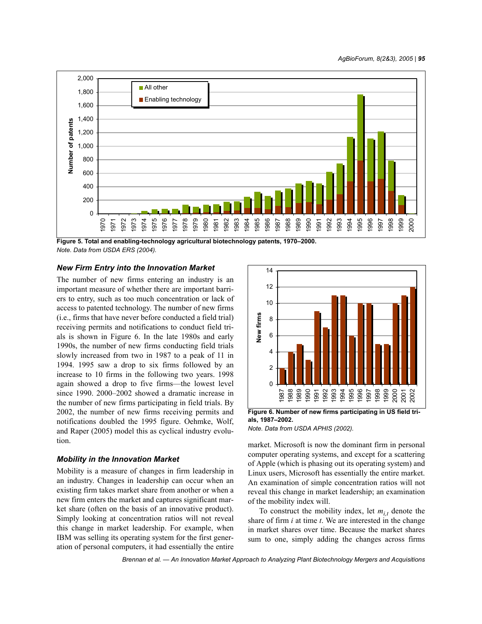

**Figure 5. Total and enabling-technology agricultural biotechnology patents, 1970–2000.** *Note. Data from USDA ERS (2004).*

## *New Firm Entry into the Innovation Market*

The number of new firms entering an industry is an important measure of whether there are important barriers to entry, such as too much concentration or lack of access to patented technology. The number of new firms (i.e., firms that have never before conducted a field trial) receiving permits and notifications to conduct field trials is shown in Figure 6. In the late 1980s and early 1990s, the number of new firms conducting field trials slowly increased from two in 1987 to a peak of 11 in 1994. 1995 saw a drop to six firms followed by an increase to 10 firms in the following two years. 1998 again showed a drop to five firms—the lowest level since 1990. 2000–2002 showed a dramatic increase in the number of new firms participating in field trials. By 2002, the number of new firms receiving permits and notifications doubled the 1995 figure. Oehmke, Wolf, and Raper (2005) model this as cyclical industry evolution.

## *Mobility in the Innovation Market*

Mobility is a measure of changes in firm leadership in an industry. Changes in leadership can occur when an existing firm takes market share from another or when a new firm enters the market and captures significant market share (often on the basis of an innovative product). Simply looking at concentration ratios will not reveal this change in market leadership. For example, when IBM was selling its operating system for the first generation of personal computers, it had essentially the entire



**Figure 6. Number of new firms participating in US field trials, 1987–2002.**

*Note. Data from USDA APHIS (2002).*

market. Microsoft is now the dominant firm in personal computer operating systems, and except for a scattering of Apple (which is phasing out its operating system) and Linux users, Microsoft has essentially the entire market. An examination of simple concentration ratios will not reveal this change in market leadership; an examination of the mobility index will.

To construct the mobility index, let  $m_{i,t}$  denote the share of firm *i* at time *t*. We are interested in the change in market shares over time. Because the market shares sum to one, simply adding the changes across firms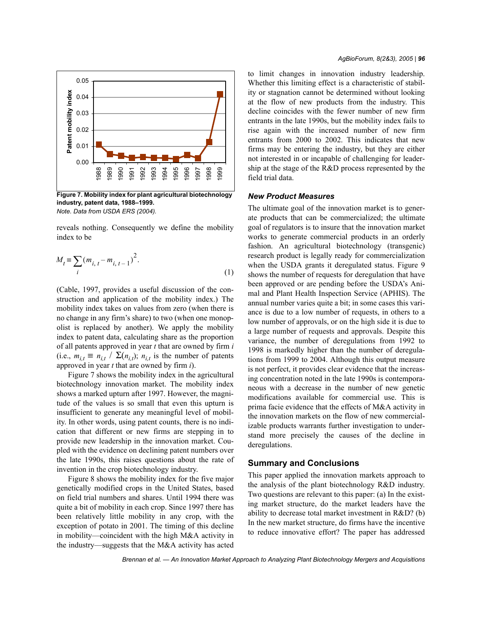

**Figure 7. Mobility index for plant agricultural biotechnology industry, patent data, 1988–1999.** *Note. Data from USDA ERS (2004).*

reveals nothing. Consequently we define the mobility index to be

$$
M_{t} \equiv \sum_{i} (m_{i, t} - m_{i, t-1})^{2}.
$$
 (1)

(Cable, 1997, provides a useful discussion of the construction and application of the mobility index.) The mobility index takes on values from zero (when there is no change in any firm's share) to two (when one monopolist is replaced by another). We apply the mobility index to patent data, calculating share as the proportion of all patents approved in year *t* that are owned by firm *i* (i.e.,  $m_{i,t} \equiv n_{i,t} / \sum (n_{i,t})$ ;  $n_{i,t}$  is the number of patents approved in year *t* that are owned by firm *i*).

Figure 7 shows the mobility index in the agricultural biotechnology innovation market. The mobility index shows a marked upturn after 1997. However, the magnitude of the values is so small that even this upturn is insufficient to generate any meaningful level of mobility. In other words, using patent counts, there is no indication that different or new firms are stepping in to provide new leadership in the innovation market. Coupled with the evidence on declining patent numbers over the late 1990s, this raises questions about the rate of invention in the crop biotechnology industry.

Figure 8 shows the mobility index for the five major genetically modified crops in the United States, based on field trial numbers and shares. Until 1994 there was quite a bit of mobility in each crop. Since 1997 there has been relatively little mobility in any crop, with the exception of potato in 2001. The timing of this decline in mobility—coincident with the high M&A activity in the industry—suggests that the M&A activity has acted to limit changes in innovation industry leadership. Whether this limiting effect is a characteristic of stability or stagnation cannot be determined without looking at the flow of new products from the industry. This decline coincides with the fewer number of new firm entrants in the late 1990s, but the mobility index fails to rise again with the increased number of new firm entrants from 2000 to 2002. This indicates that new firms may be entering the industry, but they are either not interested in or incapable of challenging for leadership at the stage of the R&D process represented by the field trial data.

## *New Product Measures*

The ultimate goal of the innovation market is to generate products that can be commercialized; the ultimate goal of regulators is to insure that the innovation market works to generate commercial products in an orderly fashion. An agricultural biotechnology (transgenic) research product is legally ready for commercialization when the USDA grants it deregulated status. Figure 9 shows the number of requests for deregulation that have been approved or are pending before the USDA's Animal and Plant Health Inspection Service (APHIS). The annual number varies quite a bit; in some cases this variance is due to a low number of requests, in others to a low number of approvals, or on the high side it is due to a large number of requests and approvals. Despite this variance, the number of deregulations from 1992 to 1998 is markedly higher than the number of deregulations from 1999 to 2004. Although this output measure is not perfect, it provides clear evidence that the increasing concentration noted in the late 1990s is contemporaneous with a decrease in the number of new genetic modifications available for commercial use. This is prima facie evidence that the effects of M&A activity in the innovation markets on the flow of new commercializable products warrants further investigation to understand more precisely the causes of the decline in deregulations.

## **Summary and Conclusions**

This paper applied the innovation markets approach to the analysis of the plant biotechnology R&D industry. Two questions are relevant to this paper: (a) In the existing market structure, do the market leaders have the ability to decrease total market investment in R&D? (b) In the new market structure, do firms have the incentive to reduce innovative effort? The paper has addressed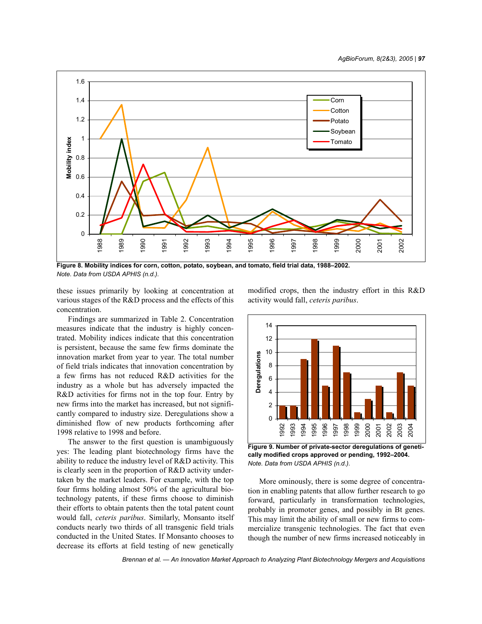

**Figure 8. Mobility indices for corn, cotton, potato, soybean, and tomato, field trial data, 1988–2002.** *Note. Data from USDA APHIS (n.d.).*

these issues primarily by looking at concentration at various stages of the R&D process and the effects of this concentration.

Findings are summarized in Table 2. Concentration measures indicate that the industry is highly concentrated. Mobility indices indicate that this concentration is persistent, because the same few firms dominate the innovation market from year to year. The total number of field trials indicates that innovation concentration by a few firms has not reduced R&D activities for the industry as a whole but has adversely impacted the R&D activities for firms not in the top four. Entry by new firms into the market has increased, but not significantly compared to industry size. Deregulations show a diminished flow of new products forthcoming after 1998 relative to 1998 and before.

The answer to the first question is unambiguously yes: The leading plant biotechnology firms have the ability to reduce the industry level of R&D activity. This is clearly seen in the proportion of R&D activity undertaken by the market leaders. For example, with the top four firms holding almost 50% of the agricultural biotechnology patents, if these firms choose to diminish their efforts to obtain patents then the total patent count would fall, *ceteris paribus*. Similarly, Monsanto itself conducts nearly two thirds of all transgenic field trials conducted in the United States. If Monsanto chooses to decrease its efforts at field testing of new genetically modified crops, then the industry effort in this R&D activity would fall, *ceteris paribus*.



**Figure 9. Number of private-sector deregulations of genetically modified crops approved or pending, 1992–2004.** *Note. Data from USDA APHIS (n.d.).*

More ominously, there is some degree of concentration in enabling patents that allow further research to go forward, particularly in transformation technologies, probably in promoter genes, and possibly in Bt genes. This may limit the ability of small or new firms to commercialize transgenic technologies. The fact that even though the number of new firms increased noticeably in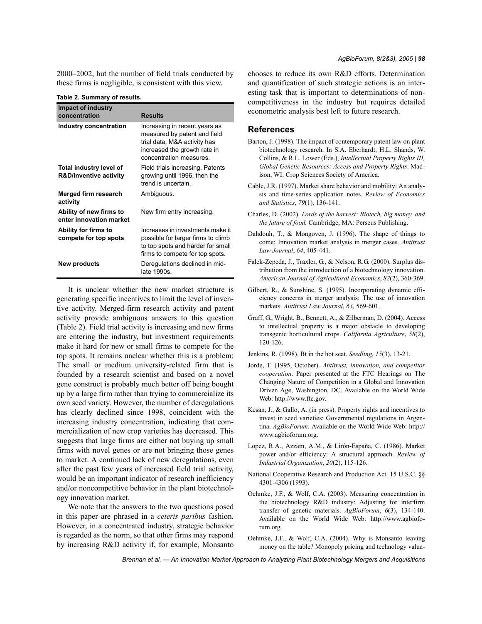2000–2002, but the number of field trials conducted by these firms is negligible, is consistent with this view.

| Impact of industry                                           |                                                                                                                                                          |
|--------------------------------------------------------------|----------------------------------------------------------------------------------------------------------------------------------------------------------|
| concentration                                                | Results                                                                                                                                                  |
| Industry concentration                                       | Increasing in recent years as<br>measured by patent and field<br>trial data. M&A activity has<br>increased the growth rate in<br>concentration measures. |
| Total industry level of<br><b>R&amp;D/inventive activity</b> | Field trials increasing. Patents<br>growing until 1996, then the<br>trend is uncertain.                                                                  |
| Merged firm research<br>activity                             | Ambiguous.                                                                                                                                               |
| Ability of new firms to<br>enter innovation market           | New firm entry increasing.                                                                                                                               |
| Ability for firms to<br>compete for top spots                | Increases in investments make it<br>possible for larger firms to climb<br>to top spots and harder for small<br>firms to compete for top spots.           |
| New products                                                 | Deregulations declined in mid-<br>late 1990s.                                                                                                            |

**Table 2. Summary of results.**

It is unclear whether the new market structure is generating specific incentives to limit the level of inventive activity. Merged-firm research activity and patent activity provide ambiguous answers to this question (Table 2). Field trial activity is increasing and new firms are entering the industry, but investment requirements make it hard for new or small firms to compete for the top spots. It remains unclear whether this is a problem: The small or medium university-related firm that is founded by a research scientist and based on a novel gene construct is probably much better off being bought up by a large firm rather than trying to commercialize its own seed variety. However, the number of deregulations has clearly declined since 1998, coincident with the increasing industry concentration, indicating that commercialization of new crop varieties has decreased. This suggests that large firms are either not buying up small firms with novel genes or are not bringing those genes to market. A continued lack of new deregulations, even after the past few years of increased field trial activity, would be an important indicator of research inefficiency and/or noncompetitive behavior in the plant biotechnology innovation market.

We note that the answers to the two questions posed in this paper are phrased in a *ceteris paribus* fashion. However, in a concentrated industry, strategic behavior is regarded as the norm, so that other firms may respond by increasing R&D activity if, for example, Monsanto chooses to reduce its own R&D efforts. Determination and quantification of such strategic actions is an interesting task that is important to determinations of noncompetitiveness in the industry but requires detailed econometric analysis best left to future research.

## **References**

- Barton, J. (1998). The impact of contemporary patent law on plant biotechnology research. In S.A. Eberhardt, H.L. Shands, W. Collins, & R.L. Lower (Eds.), *Intellectual Property Rights III, Global Genetic Resources: Access and Property Rights*. Madison, WI: Crop Sciences Society of America.
- Cable, J.R. (1997). Market share behavior and mobility: An analysis and time-series application notes. *Review of Economics and Statistics*, *79*(1), 136-141.
- Charles, D. (2002). *Lords of the harvest: Biotech, big money, and the future of food.* Cambridge, MA: Perseus Publishing.
- Dahdouh, T., & Mongoven, J. (1996). The shape of things to come: Innovation market analysis in merger cases. *Antitrust Law Journal*, *64*, 405-441.
- Falck-Zepeda, J., Traxler, G., & Nelson, R.G. (2000). Surplus distribution from the introduction of a biotechnology innovation. *American Journal of Agricultural Economics*, *82*(2), 360-369.
- Gilbert, R., & Sunshine, S. (1995). Incorporating dynamic efficiency concerns in merger analysis: The use of innovation markets. *Antitrust Law Journal*, *63*, 569-601.
- Graff, G., Wright, B., Bennett, A., & Zilberman, D. (2004). Access to intellectual property is a major obstacle to developing transgenic horticultural crops. *California Agriculture*, *58*(2), 120-126.
- Jenkins, R. (1998). Bt in the hot seat. *Seedling*, *15*(3), 13-21.
- Jorde, T. (1995, October). *Antitrust, innovation, and competitor cooperation*. Paper presented at the FTC Hearings on The Changing Nature of Competition in a Global and Innovation Driven Age, Washington, DC. Available on the World Wide Web: http://www.ftc.gov.
- Kesan, J., & Gallo, A. (in press). Property rights and incentives to invest in seed varieties: Governmental regulations in Argentina. *AgBioForum*. Available on the World Wide Web: http:// www.agbioforum.org.
- Lopez, R.A., Azzam, A.M., & Lirón-España, C. (1986). Market power and/or efficiency: A structural approach. *Review of Industrial Organization*, *20*(2), 115-126.
- National Cooperative Research and Production Act. 15 U.S.C. §§ 4301-4306 (1993).
- Oehmke, J.F., & Wolf, C.A. (2003). Measuring concentration in the biotechnology R&D industry: Adjusting for interfirm transfer of genetic materials. *AgBioForum*, *6*(3), 134-140. Available on the World Wide Web: http://www.agbioforum.org.
- Oehmke, J.F., & Wolf, C.A. (2004). Why is Monsanto leaving money on the table? Monopoly pricing and technology valua-